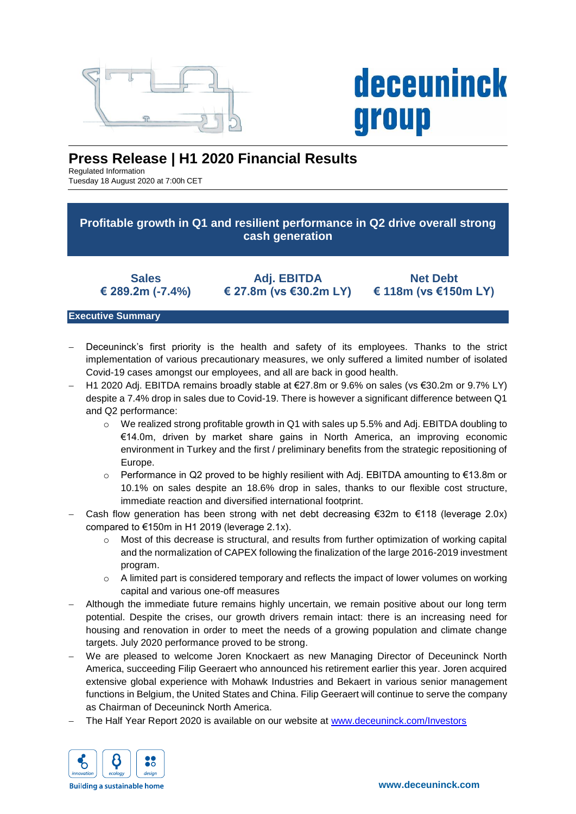

# **deceuninck** group

# **Press Release | H1 2020 Financial Results**

Regulated Information Tuesday 18 August 2020 at 7:00h CET

**Profitable growth in Q1 and resilient performance in Q2 drive overall strong cash generation**

**Sales € 289.2m (-7.4%)**

**Adj. EBITDA € 27.8m (vs €30.2m LY)**

**Net Debt € 118m (vs €150m LY)**

# **Executive Summary**

- Deceuninck's first priority is the health and safety of its employees. Thanks to the strict implementation of various precautionary measures, we only suffered a limited number of isolated Covid-19 cases amongst our employees, and all are back in good health.
- H1 2020 Adj. EBITDA remains broadly stable at €27.8m or 9.6% on sales (vs €30.2m or 9.7% LY) despite a 7.4% drop in sales due to Covid-19. There is however a significant difference between Q1 and Q2 performance:
	- $\circ$  We realized strong profitable growth in Q1 with sales up 5.5% and Adj. EBITDA doubling to €14.0m, driven by market share gains in North America, an improving economic environment in Turkey and the first / preliminary benefits from the strategic repositioning of Europe.
	- $\circ$  Performance in Q2 proved to be highly resilient with Adj. EBITDA amounting to €13.8m or 10.1% on sales despite an 18.6% drop in sales, thanks to our flexible cost structure, immediate reaction and diversified international footprint.
- Cash flow generation has been strong with net debt decreasing  $\epsilon$ 32m to  $\epsilon$ 118 (leverage 2.0x) compared to €150m in H1 2019 (leverage 2.1x).
	- $\circ$  Most of this decrease is structural, and results from further optimization of working capital and the normalization of CAPEX following the finalization of the large 2016-2019 investment program.
	- $\circ$  A limited part is considered temporary and reflects the impact of lower volumes on working capital and various one-off measures
- Although the immediate future remains highly uncertain, we remain positive about our long term potential. Despite the crises, our growth drivers remain intact: there is an increasing need for housing and renovation in order to meet the needs of a growing population and climate change targets. July 2020 performance proved to be strong.
- We are pleased to welcome Joren Knockaert as new Managing Director of Deceuninck North America, succeeding Filip Geeraert who announced his retirement earlier this year. Joren acquired extensive global experience with Mohawk Industries and Bekaert in various senior management functions in Belgium, the United States and China. Filip Geeraert will continue to serve the company as Chairman of Deceuninck North America.
- The Half Year Report 2020 is available on our website at [www.deceuninck.com/Investors](http://www.deceuninck.com/Investors)

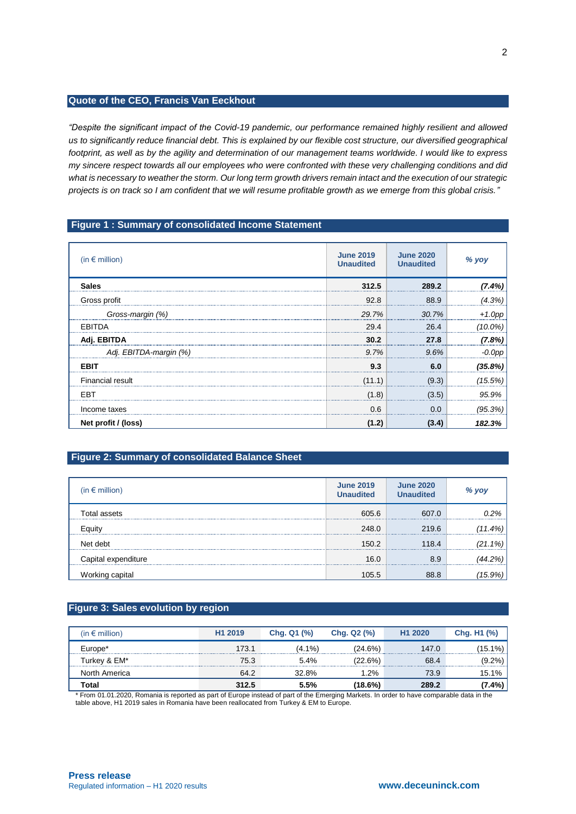# **Quote of the CEO, Francis Van Eeckhout**

*"Despite the significant impact of the Covid-19 pandemic, our performance remained highly resilient and allowed us to significantly reduce financial debt. This is explained by our flexible cost structure, our diversified geographical footprint, as well as by the agility and determination of our management teams worldwide. I would like to express my sincere respect towards all our employees who were confronted with these very challenging conditions and did what is necessary to weather the storm. Our long term growth drivers remain intact and the execution of our strategic projects is on track so I am confident that we will resume profitable growth as we emerge from this global crisis."*

#### **Figure 1 : Summary of consolidated Income Statement**

| (in $\epsilon$ million) | <b>June 2019</b><br><b>Unaudited</b> | <b>June 2020</b><br><b>Unaudited</b> | % yoy  |
|-------------------------|--------------------------------------|--------------------------------------|--------|
| <b>Sales</b>            | 312.5                                | 289.2                                | 7.4%   |
| Gross profit            | 92.8                                 | 88.9                                 |        |
| Gross-margin (%)        | 29.7%                                | 30.7%                                |        |
| EBITDA                  | 29.4                                 | 26.4                                 |        |
| Adj. EBITDA             | 30.2                                 | 27.8                                 | 7.8%   |
| Adj. EBITDA-margin (%)  | 9.7%                                 | 9.6%                                 |        |
| <b>EBIT</b>             | 9.3                                  |                                      |        |
| <b>Financial result</b> | (11.1)                               | (9.3)                                | 15.5%  |
| <b>EBT</b>              | (1.8)                                | (3.5)                                | 95.9%  |
| Income taxes            | 0.6                                  | 0.0                                  | (95.3% |
| Net profit / (loss)     | (1.2)                                | (3.4)                                | 182.3% |

# **Figure 2: Summary of consolidated Balance Sheet**

| (in $\epsilon$ million) | <b>June 2019</b><br><b>Unaudited</b> | <b>June 2020</b><br><b>Unaudited</b> | % yoy  |
|-------------------------|--------------------------------------|--------------------------------------|--------|
| tal assets              | 605.6                                | 607 O                                | 12%    |
| Eauitv                  | 248.0                                | 219.6                                | 11.4%  |
| Net debt                | 150.2                                | 118.4                                | 21.1%. |
| Capital expenditure     | 16.0                                 | 8.9                                  |        |
| Working capital         | 105.5                                | 88.8                                 |        |

## **Figure 3: Sales evolution by region**

| (in $\epsilon$ million) | H <sub>1</sub> 2019 | Chg. Q1 (%) | Chg. Q2 (%) | H <sub>1</sub> 2020 | Chg. H1 (%) |
|-------------------------|---------------------|-------------|-------------|---------------------|-------------|
| Europe <sup>*</sup>     | 173.1               | $(4.1\%)$   | (24.6%)     | 147.0               | (15.1%)     |
| Turkev & EM*            | 75.3                | 5.4%        | (22.6%)     | 68.4                | (9.2%)      |
| North America           | 64.2                | 32.8%       | $1.2\%$     | 73.9                | 15.1%       |
| Total                   | 312.5               | 5.5%        | (18.6%)     | 289.2               | 7.4%)       |

\* From 01.01.2020, Romania is reported as part of Europe instead of part of the Emerging Markets. In order to have comparable data in the table above, H1 2019 sales in Romania have been reallocated from Turkey & EM to Europe.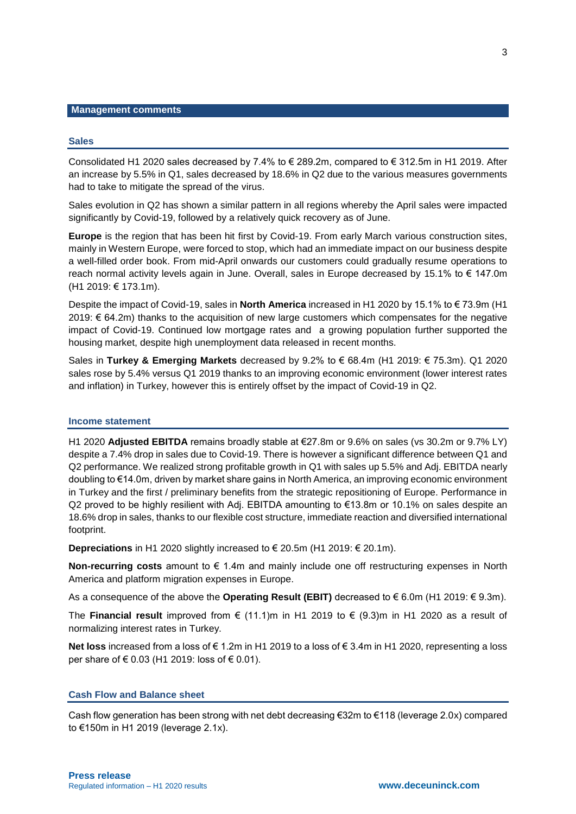#### **Management comments**

#### **Sales**

Consolidated H1 2020 sales decreased by 7.4% to € 289.2m, compared to € 312.5m in H1 2019. After an increase by 5.5% in Q1, sales decreased by 18.6% in Q2 due to the various measures governments had to take to mitigate the spread of the virus.

Sales evolution in Q2 has shown a similar pattern in all regions whereby the April sales were impacted significantly by Covid-19, followed by a relatively quick recovery as of June.

**Europe** is the region that has been hit first by Covid-19. From early March various construction sites, mainly in Western Europe, were forced to stop, which had an immediate impact on our business despite a well-filled order book. From mid-April onwards our customers could gradually resume operations to reach normal activity levels again in June. Overall, sales in Europe decreased by 15.1% to € 147.0m (H1 2019: € 173.1m).

Despite the impact of Covid-19, sales in **North America** increased in H1 2020 by 15.1% to € 73.9m (H1 2019: € 64.2m) thanks to the acquisition of new large customers which compensates for the negative impact of Covid-19. Continued low mortgage rates and a growing population further supported the housing market, despite high unemployment data released in recent months.

Sales in **Turkey & Emerging Markets** decreased by 9.2% to € 68.4m (H1 2019: € 75.3m). Q1 2020 sales rose by 5.4% versus Q1 2019 thanks to an improving economic environment (lower interest rates and inflation) in Turkey, however this is entirely offset by the impact of Covid-19 in Q2.

#### **Income statement**

H1 2020 **Adjusted EBITDA** remains broadly stable at €27.8m or 9.6% on sales (vs 30.2m or 9.7% LY) despite a 7.4% drop in sales due to Covid-19. There is however a significant difference between Q1 and Q2 performance. We realized strong profitable growth in Q1 with sales up 5.5% and Adj. EBITDA nearly doubling to €14.0m, driven by market share gains in North America, an improving economic environment in Turkey and the first / preliminary benefits from the strategic repositioning of Europe. Performance in Q2 proved to be highly resilient with Adj. EBITDA amounting to €13.8m or 10.1% on sales despite an 18.6% drop in sales, thanks to our flexible cost structure, immediate reaction and diversified international footprint.

**Depreciations** in H1 2020 slightly increased to € 20.5m (H1 2019: € 20.1m).

**Non-recurring costs** amount to € 1.4m and mainly include one off restructuring expenses in North America and platform migration expenses in Europe.

As a consequence of the above the **Operating Result (EBIT)** decreased to € 6.0m (H1 2019: € 9.3m).

The **Financial result** improved from  $\epsilon$  (11.1)m in H1 2019 to  $\epsilon$  (9.3)m in H1 2020 as a result of normalizing interest rates in Turkey.

**Net loss** increased from a loss of € 1.2m in H1 2019 to a loss of € 3.4m in H1 2020, representing a loss per share of € 0.03 (H1 2019: loss of € 0.01).

#### **Cash Flow and Balance sheet**

Cash flow generation has been strong with net debt decreasing €32m to €118 (leverage 2.0x) compared to €150m in H1 2019 (leverage 2.1x).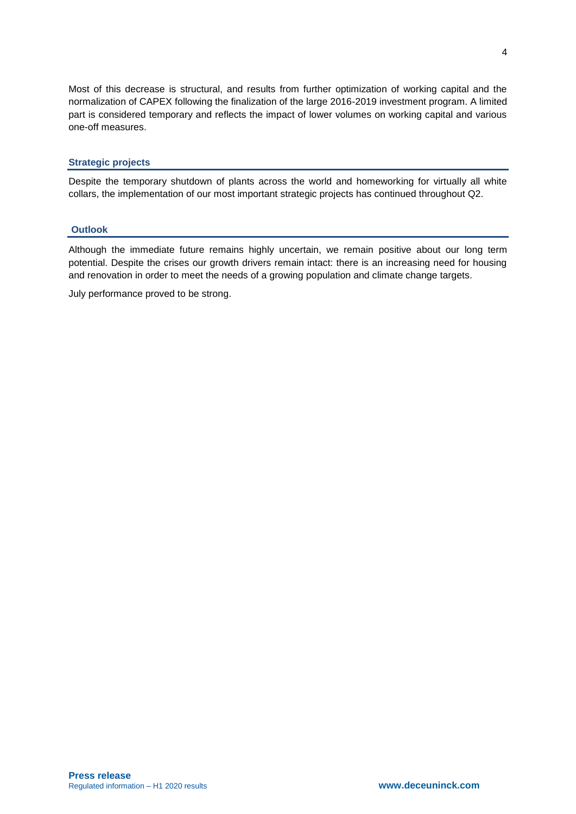Most of this decrease is structural, and results from further optimization of working capital and the normalization of CAPEX following the finalization of the large 2016-2019 investment program. A limited part is considered temporary and reflects the impact of lower volumes on working capital and various one-off measures.

## **Strategic projects**

Despite the temporary shutdown of plants across the world and homeworking for virtually all white collars, the implementation of our most important strategic projects has continued throughout Q2.

#### **Outlook**

Although the immediate future remains highly uncertain, we remain positive about our long term potential. Despite the crises our growth drivers remain intact: there is an increasing need for housing and renovation in order to meet the needs of a growing population and climate change targets.

July performance proved to be strong.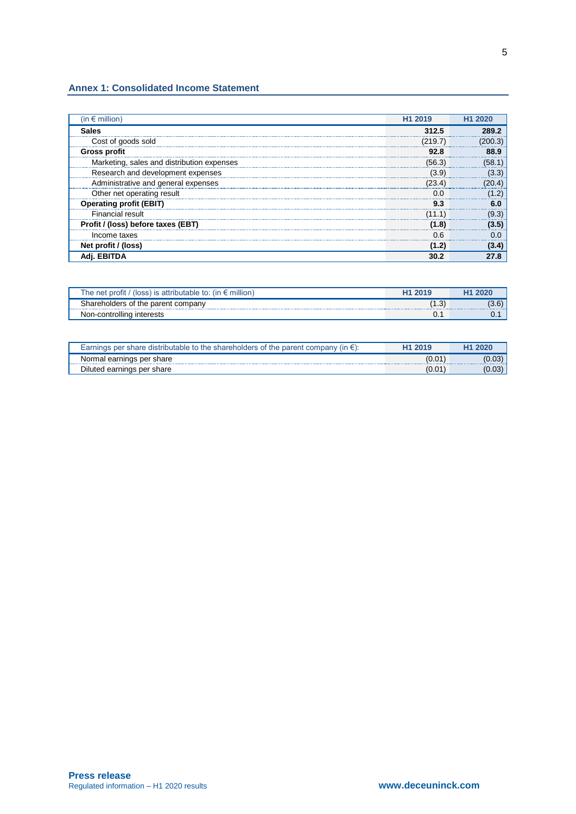#### **Annex 1: Consolidated Income Statement**

| (in $\epsilon$ million)                    | H1 2019 | H1 2020 |
|--------------------------------------------|---------|---------|
| <b>Sales</b>                               | 312.5   |         |
| Cost of goods sold                         | (219.7) |         |
| <b>Gross profit</b>                        | 92.8    |         |
| Marketing, sales and distribution expenses | (56.3)  |         |
| Research and development expenses          | (3.9)   |         |
| Administrative and general expenses        | (23.4)  |         |
| Other net operating result                 |         |         |
| <b>Operating profit (EBIT)</b>             | 93      |         |
| Financial result                           |         |         |
| Profit / (loss) before taxes (EBT)         | (1.8)   |         |
| Income taxes                               | 0.6     |         |
| Net profit / (loss)                        |         |         |
|                                            |         |         |

| . profit<br>′ (loss) is attributable to: (in € ⊦<br>The net<br>million |      |       |
|------------------------------------------------------------------------|------|-------|
| Shareholders of the parent company                                     | . ت. | I J.O |
| Non-controlling interests                                              | U.   | U.    |

| ⊟the shareholders of the د<br>parent<br>$^{\prime}$ (in $\epsilon$ ):<br>Earnings per share distributable to $\alpha$ | ົ 2016 |       |
|-----------------------------------------------------------------------------------------------------------------------|--------|-------|
| Normal earnings per share                                                                                             | U.U    | U.UJ  |
| Diluted earnings per share                                                                                            | U.U    | ,0.03 |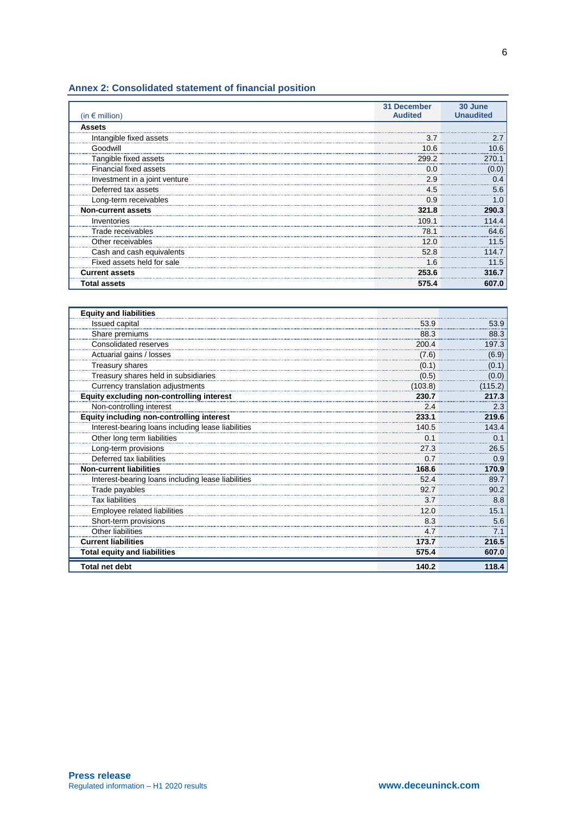# **Annex 2: Consolidated statement of financial position**

| (in $\epsilon$ million)       | 31 December<br><b>Audited</b> | 30 June<br><b>Unaudited</b> |
|-------------------------------|-------------------------------|-----------------------------|
| <b>Assets</b>                 |                               |                             |
| Intangible fixed assets       | 3.7                           |                             |
| Goodwill                      | 10.6                          |                             |
| Tangible fixed assets         | 299.2                         |                             |
| <b>Financial fixed assets</b> | 0.0                           | 0.01                        |
| Investment in a joint venture | 2.9                           |                             |
| Deferred tax assets           | 4.5                           | 5.6                         |
| Long-term receivables         | 0.9                           |                             |
| <b>Non-current assets</b>     | 321.8                         |                             |
| Inventories                   | 109.1                         |                             |
| Trade receivables             | 78.1                          |                             |
| Other receivables             | 12.0                          |                             |
| Cash and cash equivalents     | 52.8                          |                             |
| Fixed assets held for sale    | 1.6                           |                             |
| <b>Current assets</b>         | 253.6                         |                             |
| <b>Total assets</b>           | 575.4                         | 607.0                       |

| <b>Equity and liabilities</b>                      |         |              |
|----------------------------------------------------|---------|--------------|
| Issued capital                                     | 53.9    | 53.9         |
| Share premiums                                     | 88.3    | 88.3         |
| Consolidated reserves                              | 200.4   | 197.3        |
| Actuarial gains / losses                           | (7.6)   | (6.9)        |
| Treasury shares                                    | (0.1)   | <u>(0.1)</u> |
| Treasury shares held in subsidiaries               | (0.5)   | (0.0)        |
| Currency translation adjustments                   | (103.8) | (115.2)      |
| Equity excluding non-controlling interest          | 230.7   | 217.3        |
| Non-controlling interest                           | 2.4     | 2.3          |
| <b>Equity including non-controlling interest</b>   | 233.1   | 219.6        |
| Interest-bearing loans including lease liabilities | 140.5   | 143.4        |
| Other long term liabilities                        | 0.1     | 0.1          |
| Long-term provisions                               | 27.3    | 26.5         |
| Deferred tax liabilities                           | 0.7     | 0.9          |
| <b>Non-current liabilities</b>                     | 168.6   | 170.9        |
| Interest-bearing loans including lease liabilities | 52.4    | 89.7         |
| Trade payables                                     | 92.7    | 90.2         |
| <b>Tax liabilities</b>                             | 3.7     | 8.8          |
| Employee related liabilities                       | 12.0    | 15.1         |
| Short-term provisions                              | 8.3     | 5.6          |
| Other liabilities                                  | 4.7     | 7.1          |
| <b>Current liabilities</b>                         | 173.7   | 216.5        |
| <b>Total equity and liabilities</b>                | 575.4   | 607.0        |
| <b>Total net debt</b>                              | 140.2   | 118.4        |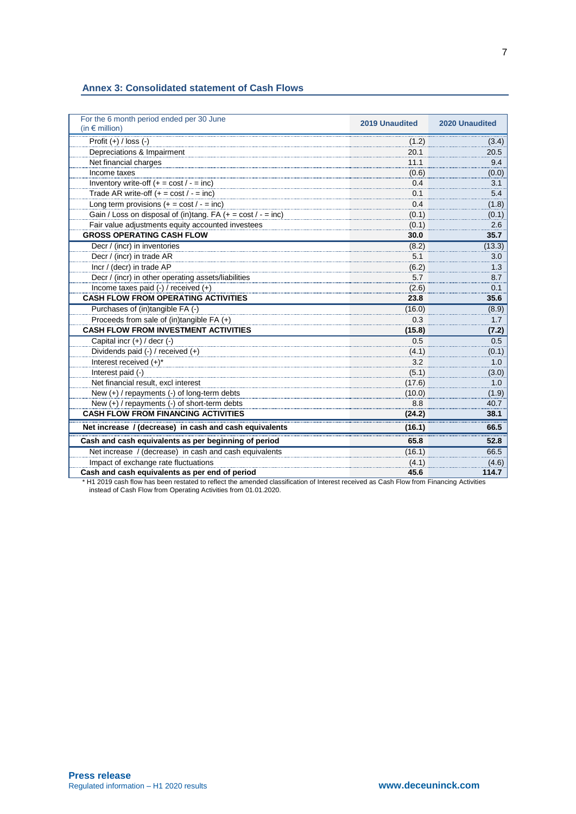#### **Annex 3: Consolidated statement of Cash Flows**

| For the 6 month period ended per 30 June<br>(in $\epsilon$ million)         | <b>2019 Unaudited</b> | <b>2020 Unaudited</b> |
|-----------------------------------------------------------------------------|-----------------------|-----------------------|
| Profit $(+)$ / loss $(-)$                                                   | (1.2)                 | (3.4)                 |
| Depreciations & Impairment                                                  | 20.1                  | 20.5                  |
| Net financial charges                                                       | 11.1                  | 9.4                   |
| Income taxes                                                                | (0.6)                 | (0.0)                 |
| Inventory write-off $(+ = \cos t / - = \text{inc})$                         | 0.4                   | 3.1                   |
| Trade AR write-off $(+ = \text{cost}/ - = \text{inc})$                      | 0.1                   | 5.4                   |
| Long term provisions $(+ = \text{cost}/ - = \text{inc})$                    | 0.4                   | (1.8)                 |
| Gain / Loss on disposal of (in)tang. FA $(+ = \text{cost}/ - = \text{inc})$ | (0.1)                 | (0.1)                 |
| Fair value adjustments equity accounted investees                           | (0.1)                 | 2.6                   |
| <b>GROSS OPERATING CASH FLOW</b>                                            | 30.0                  | 35.7                  |
| Decr / (incr) in inventories                                                | (8.2)                 | (13.3)                |
| Decr / (incr) in trade AR                                                   | 5.1                   | 3.0                   |
| Incr / (decr) in trade AP                                                   | (6.2)                 | 1.3                   |
| Decr / (incr) in other operating assets/liabilities                         | 5.7                   | 8.7                   |
| Income taxes paid (-) / received (+)                                        | (2.6)                 | 0.1                   |
| <b>CASH FLOW FROM OPERATING ACTIVITIES</b>                                  | 23.8                  | 35.6                  |
| Purchases of (in)tangible FA (-)                                            | (16.0)                | (8.9)                 |
| Proceeds from sale of (in)tangible FA (+)                                   | 0.3                   | 1.7                   |
| <b>CASH FLOW FROM INVESTMENT ACTIVITIES</b>                                 | (15.8)                | (7.2)                 |
| Capital incr (+) / decr (-)                                                 | 0.5                   | 0.5                   |
| Dividends paid (-) / received (+)                                           | (4.1)                 | (0.1)                 |
| Interest received (+)*                                                      | 3.2                   | 1.0                   |
| Interest paid (-)                                                           | (5.1)                 | (3.0)                 |
| Net financial result, excl interest                                         | (17.6)                | 1.0                   |
| New (+) / repayments (-) of long-term debts                                 | (10.0)                | (1.9)                 |
| New (+) / repayments (-) of short-term debts                                | 8.8                   | 40.7                  |
| <b>CASH FLOW FROM FINANCING ACTIVITIES</b>                                  | (24.2)                | 38.1                  |
| Net increase / (decrease) in cash and cash equivalents                      | (16.1)                | 66.5                  |
| Cash and cash equivalents as per beginning of period                        | 65.8                  | 52.8                  |
| Net increase / (decrease) in cash and cash equivalents                      | (16.1)                | 66.5                  |
| Impact of exchange rate fluctuations                                        | (4.1)                 | (4.6)                 |
| Cash and cash equivalents as per end of period                              | 45.6                  | 114.7                 |

\* H1 2019 cash flow has been restated to reflect the amended classification of Interest received as Cash Flow from Financing Activities instead of Cash Flow from Operating Activities from 01.01.2020.